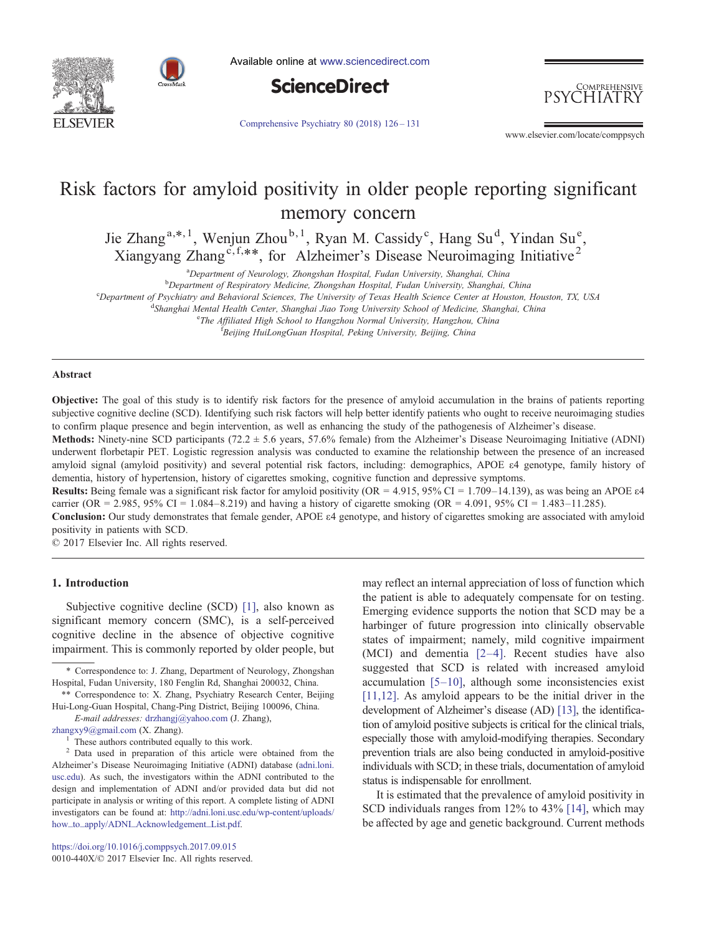



Available online at [www.sciencedirect.com](http://www.sciencedirect.com/science/journal/0010440X)



COMPREHENSIVE 'HIATRY

[Comprehensive Psychiatry 80 \(2018\) 126](https://doi.org/10.1016/j.comppsych.2017.09.015)–131

www.elsevier.com/locate/comppsych

# Risk factors for amyloid positivity in older people reporting significant memory concern

Jie Zhang<sup>a,\*, 1</sup>, Wenjun Zhou<sup>b, 1</sup>, Ryan M. Cassidy<sup>c</sup>, Hang Su<sup>d</sup>, Yindan Su<sup>e</sup>, Xiangyang Zhang<sup>c, f,\*\*</sup>, for Alzheimer's Disease Neuroimaging Initiative<sup>2</sup>

<sup>a</sup> Department of Neurology, Zhongshan Hospital, Fudan University, Shanghai, China<br><sup>b</sup> Department of Respiratory Medicine, Zhongshan Hospital, Eudan University, Shanghai, I

**b** Department of Respiratory Medicine, Zhongshan Hospital, Fudan University, Shanghai, China

Department of Psychiatry and Behavioral Sciences, The University of Texas Health Science Center at Houston, Houston, TX, USA

<sup>d</sup>Shanghai Mental Health Center, Shanghai Jiao Tong University School of Medicine, Shanghai, China<br>eThe Affiliated High School to Hangghou Normal University, Hangghou, China

<sup>e</sup>The Affiliated High School to Hangzhou Normal University, Hangzhou, China

<sup>t</sup>Beijing HuiLongGuan Hospital, Peking University, Beijing, China

#### Abstract

Objective: The goal of this study is to identify risk factors for the presence of amyloid accumulation in the brains of patients reporting subjective cognitive decline (SCD). Identifying such risk factors will help better identify patients who ought to receive neuroimaging studies to confirm plaque presence and begin intervention, as well as enhancing the study of the pathogenesis of Alzheimer's disease.

**Methods:** Ninety-nine SCD participants (72.2  $\pm$  5.6 years, 57.6% female) from the Alzheimer's Disease Neuroimaging Initiative (ADNI) underwent florbetapir PET. Logistic regression analysis was conducted to examine the relationship between the presence of an increased amyloid signal (amyloid positivity) and several potential risk factors, including: demographics, APOE ε4 genotype, family history of dementia, history of hypertension, history of cigarettes smoking, cognitive function and depressive symptoms.

Results: Being female was a significant risk factor for amyloid positivity (OR = 4.915, 95% CI = 1.709–14.139), as was being an APOE ε4 carrier (OR = 2.985, 95% CI = 1.084–8.219) and having a history of cigarette smoking (OR = 4.091, 95% CI = 1.483–11.285).

Conclusion: Our study demonstrates that female gender, APOE ε4 genotype, and history of cigarettes smoking are associated with amyloid positivity in patients with SCD.

© 2017 Elsevier Inc. All rights reserved.

## 1. Introduction

Subjective cognitive decline (SCD) [\[1\],](#page-3-0) also known as significant memory concern (SMC), is a self-perceived cognitive decline in the absence of objective cognitive impairment. This is commonly reported by older people, but

may reflect an internal appreciation of loss of function which the patient is able to adequately compensate for on testing. Emerging evidence supports the notion that SCD may be a harbinger of future progression into clinically observable states of impairment; namely, mild cognitive impairment (MCI) and dementia [2–[4\]](#page-3-0). Recent studies have also suggested that SCD is related with increased amyloid accumulation  $[5-10]$  $[5-10]$ , although some inconsistencies exist [\[11,12\].](#page-4-0) As amyloid appears to be the initial driver in the development of Alzheimer's disease (AD) [\[13\]](#page-4-0), the identification of amyloid positive subjects is critical for the clinical trials, especially those with amyloid-modifying therapies. Secondary prevention trials are also being conducted in amyloid-positive individuals with SCD; in these trials, documentation of amyloid status is indispensable for enrollment.

It is estimated that the prevalence of amyloid positivity in SCD individuals ranges from 12% to 43% [\[14\],](#page-4-0) which may be affected by age and genetic background. Current methods

<sup>⁎</sup> Correspondence to: J. Zhang, Department of Neurology, Zhongshan Hospital, Fudan University, 180 Fenglin Rd, Shanghai 200032, China.

<sup>⁎⁎</sup> Correspondence to: X. Zhang, Psychiatry Research Center, Beijing Hui-Long-Guan Hospital, Chang-Ping District, Beijing 100096, China.

E-mail addresses: <drzhangj@yahoo.com> (J. Zhang),

<zhangxy9@gmail.com> (X. Zhang).

<sup>1</sup> These authors contributed equally to this work. <sup>2</sup> Data used in preparation of this article were obtained from the Alzheimer's Disease Neuroimaging Initiative (ADNI) database [\(adni.loni.](http://adni.loni.usc.edu) [usc.edu\)](http://adni.loni.usc.edu). As such, the investigators within the ADNI contributed to the design and implementation of ADNI and/or provided data but did not participate in analysis or writing of this report. A complete listing of ADNI investigators can be found at: [http://adni.loni.usc.edu/wp-content/uploads/](http://adni.loni.usc.edu/wp-content/uploads/how_to_apply/ADNI_Acknowledgement_List.pdf) [how\\_to\\_apply/ADNI\\_Acknowledgement\\_List.pdf](http://adni.loni.usc.edu/wp-content/uploads/how_to_apply/ADNI_Acknowledgement_List.pdf).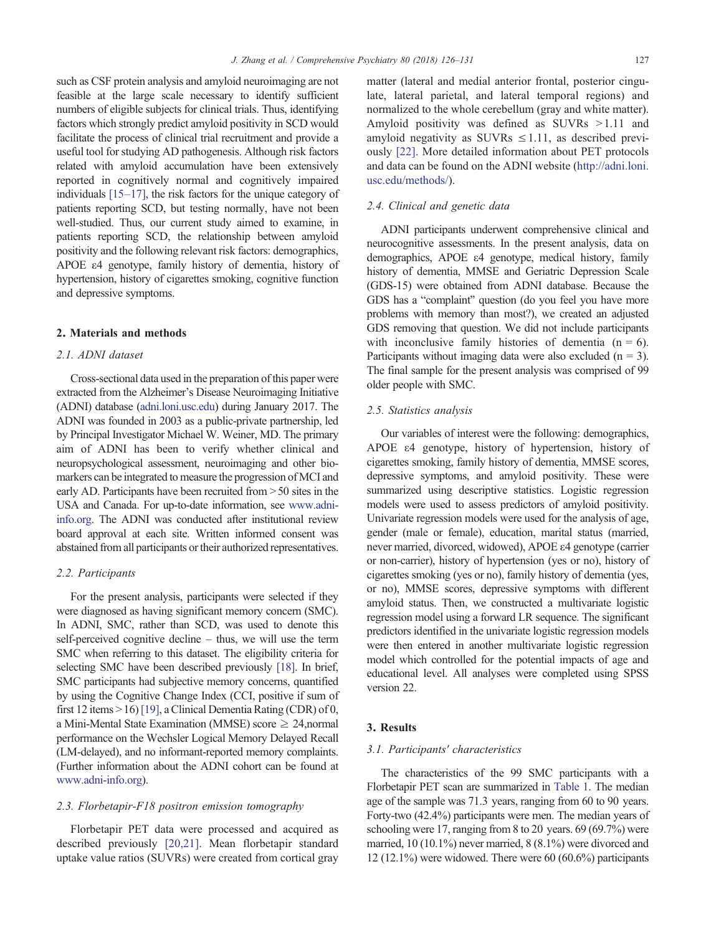such as CSF protein analysis and amyloid neuroimaging are not feasible at the large scale necessary to identify sufficient numbers of eligible subjects for clinical trials. Thus, identifying factors which strongly predict amyloid positivity in SCD would facilitate the process of clinical trial recruitment and provide a useful tool for studying AD pathogenesis. Although risk factors related with amyloid accumulation have been extensively reported in cognitively normal and cognitively impaired individuals [\[15](#page-4-0)–17], the risk factors for the unique category of patients reporting SCD, but testing normally, have not been well-studied. Thus, our current study aimed to examine, in patients reporting SCD, the relationship between amyloid positivity and the following relevant risk factors: demographics, APOE ε4 genotype, family history of dementia, history of hypertension, history of cigarettes smoking, cognitive function and depressive symptoms.

#### 2. Materials and methods

#### 2.1. ADNI dataset

Cross-sectional data used in the preparation of this paper were extracted from the Alzheimer's Disease Neuroimaging Initiative (ADNI) database ([adni.loni.usc.edu\)](http://adni.loni.usc.edu) during January 2017. The ADNI was founded in 2003 as a public-private partnership, led by Principal Investigator Michael W. Weiner, MD. The primary aim of ADNI has been to verify whether clinical and neuropsychological assessment, neuroimaging and other biomarkers can be integrated to measure the progression of MCI and early AD. Participants have been recruited from  $> 50$  sites in the USA and Canada. For up-to-date information, see [www.adni](http://www.adni-info.org)[info.org](http://www.adni-info.org). The ADNI was conducted after institutional review board approval at each site. Written informed consent was abstained from all participants or their authorized representatives.

#### 2.2. Participants

For the present analysis, participants were selected if they were diagnosed as having significant memory concern (SMC). In ADNI, SMC, rather than SCD, was used to denote this self-perceived cognitive decline – thus, we will use the term SMC when referring to this dataset. The eligibility criteria for selecting SMC have been described previously [\[18\].](#page-4-0) In brief, SMC participants had subjective memory concerns, quantified by using the Cognitive Change Index (CCI, positive if sum of first 12 items  $> 16$  [\[19\],](#page-4-0) a Clinical Dementia Rating (CDR) of 0, a Mini-Mental State Examination (MMSE) score ≥ 24,normal performance on the Wechsler Logical Memory Delayed Recall (LM-delayed), and no informant-reported memory complaints. (Further information about the ADNI cohort can be found at [www.adni-info.org](http://www.adni-info.org)).

## 2.3. Florbetapir-F18 positron emission tomography

Florbetapir PET data were processed and acquired as described previously [\[20,21\].](#page-4-0) Mean florbetapir standard uptake value ratios (SUVRs) were created from cortical gray matter (lateral and medial anterior frontal, posterior cingulate, lateral parietal, and lateral temporal regions) and normalized to the whole cerebellum (gray and white matter). Amyloid positivity was defined as  $\text{SUVRs} > 1.11$  and amyloid negativity as SUVRs  $\leq$  1.11, as described previously [\[22\]](#page-4-0). More detailed information about PET protocols and data can be found on the ADNI website [\(http://adni.loni.](http://adni.loni.usc.edu/methods/) [usc.edu/methods/\)](http://adni.loni.usc.edu/methods/).

# 2.4. Clinical and genetic data

ADNI participants underwent comprehensive clinical and neurocognitive assessments. In the present analysis, data on demographics, APOE ε4 genotype, medical history, family history of dementia, MMSE and Geriatric Depression Scale (GDS-15) were obtained from ADNI database. Because the GDS has a "complaint" question (do you feel you have more problems with memory than most?), we created an adjusted GDS removing that question. We did not include participants with inconclusive family histories of dementia  $(n = 6)$ . Participants without imaging data were also excluded  $(n = 3)$ . The final sample for the present analysis was comprised of 99 older people with SMC.

#### 2.5. Statistics analysis

Our variables of interest were the following: demographics, APOE ε4 genotype, history of hypertension, history of cigarettes smoking, family history of dementia, MMSE scores, depressive symptoms, and amyloid positivity. These were summarized using descriptive statistics. Logistic regression models were used to assess predictors of amyloid positivity. Univariate regression models were used for the analysis of age, gender (male or female), education, marital status (married, never married, divorced, widowed), APOE ε4 genotype (carrier or non-carrier), history of hypertension (yes or no), history of cigarettes smoking (yes or no), family history of dementia (yes, or no), MMSE scores, depressive symptoms with different amyloid status. Then, we constructed a multivariate logistic regression model using a forward LR sequence. The significant predictors identified in the univariate logistic regression models were then entered in another multivariate logistic regression model which controlled for the potential impacts of age and educational level. All analyses were completed using SPSS version 22.

# 3. Results

#### 3.1. Participants' characteristics

The characteristics of the 99 SMC participants with a Florbetapir PET scan are summarized in [Table 1.](#page-2-0) The median age of the sample was 71.3 years, ranging from 60 to 90 years. Forty-two (42.4%) participants were men. The median years of schooling were 17, ranging from 8 to 20 years. 69 (69.7%) were married, 10 (10.1%) never married, 8 (8.1%) were divorced and 12 (12.1%) were widowed. There were 60 (60.6%) participants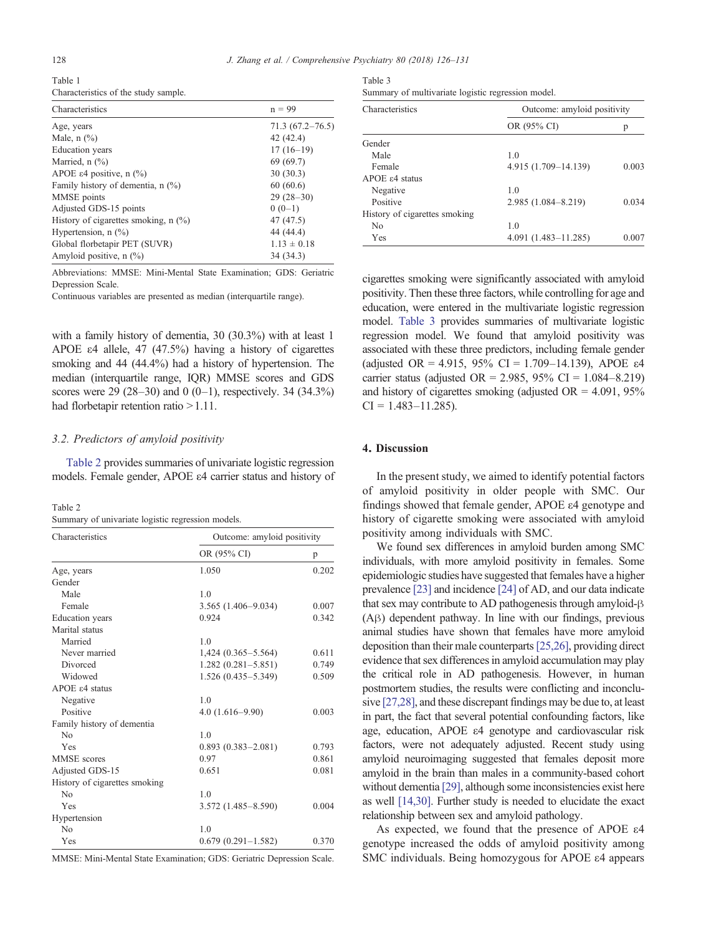<span id="page-2-0"></span>

| Table 1                              |  |
|--------------------------------------|--|
| Characteristics of the study sample. |  |

| Characteristics                        | $n = 99$            |
|----------------------------------------|---------------------|
| Age, years                             | $71.3(67.2 - 76.5)$ |
| Male, $n$ $\left(\frac{9}{6}\right)$   | 42 (42.4)           |
| <b>Education</b> years                 | $17(16-19)$         |
| Married, $n$ $(\%)$                    | 69 (69.7)           |
| APOE ε4 positive, n $(\%)$             | 30(30.3)            |
| Family history of dementia, $n$ (%)    | 60(60.6)            |
| MMSE points                            | $29(28-30)$         |
| Adjusted GDS-15 points                 | $0(0-1)$            |
| History of cigarettes smoking, $n$ (%) | 47 (47.5)           |
| Hypertension, $n$ $(\%)$               | 44 (44.4)           |
| Global florbetapir PET (SUVR)          | $1.13 \pm 0.18$     |
| Amyloid positive, $n$ $\binom{0}{0}$   | 34 (34.3)           |

Abbreviations: MMSE: Mini-Mental State Examination; GDS: Geriatric Depression Scale.

Continuous variables are presented as median (interquartile range).

with a family history of dementia, 30 (30.3%) with at least 1 APOE ε4 allele, 47 (47.5%) having a history of cigarettes smoking and 44 (44.4%) had a history of hypertension. The median (interquartile range, IQR) MMSE scores and GDS scores were 29 (28–30) and 0 (0–1), respectively. 34 (34.3%) had florbetapir retention ratio  $>1.11$ .

#### 3.2. Predictors of amyloid positivity

Table 2 provides summaries of univariate logistic regression models. Female gender, APOE ε4 carrier status and history of

Table 2 Summary of univariate logistic regression models.

| Characteristics               | Outcome: amyloid positivity |       |  |
|-------------------------------|-----------------------------|-------|--|
|                               | OR (95% CI)                 | p     |  |
| Age, years                    | 1.050                       | 0.202 |  |
| Gender                        |                             |       |  |
| Male                          | 1.0                         |       |  |
| Female                        | $3.565(1.406 - 9.034)$      | 0.007 |  |
| <b>Education</b> years        | 0.924                       | 0.342 |  |
| Marital status                |                             |       |  |
| Married                       | 1.0                         |       |  |
| Never married                 | 1,424 (0.365–5.564)         | 0.611 |  |
| Divorced                      | $1.282(0.281 - 5.851)$      | 0.749 |  |
| Widowed                       | $1.526(0.435 - 5.349)$      | 0.509 |  |
| $APOE$ $\varepsilon$ 4 status |                             |       |  |
| Negative                      | 1.0                         |       |  |
| Positive                      | $4.0(1.616 - 9.90)$         | 0.003 |  |
| Family history of dementia    |                             |       |  |
| No                            | 1.0                         |       |  |
| Yes                           | $0.893(0.383 - 2.081)$      | 0.793 |  |
| <b>MMSE</b> scores            | 0.97                        | 0.861 |  |
| Adjusted GDS-15               | 0.651                       | 0.081 |  |
| History of cigarettes smoking |                             |       |  |
| No                            | 1 <sub>0</sub>              |       |  |
| Yes                           | $3.572(1.485 - 8.590)$      | 0.004 |  |
| Hypertension                  |                             |       |  |
| N <sub>0</sub>                | 1.0                         |       |  |
| Yes                           | $0.679(0.291-1.582)$        | 0.370 |  |

MMSE: Mini-Mental State Examination; GDS: Geriatric Depression Scale.

| Table 3                                           |  |  |
|---------------------------------------------------|--|--|
| Summary of multivariate logistic regression model |  |  |

| Characteristics               | Outcome: amyloid positivity |       |  |  |
|-------------------------------|-----------------------------|-------|--|--|
|                               | OR (95% CI)                 | p     |  |  |
| Gender                        |                             |       |  |  |
| Male                          | 1.0                         |       |  |  |
| Female                        | 4.915 (1.709-14.139)        | 0.003 |  |  |
| APOE ε4 status                |                             |       |  |  |
| Negative                      | 1.0                         |       |  |  |
| Positive                      | 2.985 (1.084-8.219)         | 0.034 |  |  |
| History of cigarettes smoking |                             |       |  |  |
| N <sub>0</sub>                | 1.0                         |       |  |  |
| Yes                           | $4.091(1.483 - 11.285)$     | 0.007 |  |  |

cigarettes smoking were significantly associated with amyloid positivity. Then these three factors, while controlling for age and education, were entered in the multivariate logistic regression model. Table 3 provides summaries of multivariate logistic regression model. We found that amyloid positivity was associated with these three predictors, including female gender (adjusted OR = 4.915, 95% CI = 1.709–14.139), APOE  $\varepsilon$ 4 carrier status (adjusted OR = 2.985, 95% CI =  $1.084 - 8.219$ ) and history of cigarettes smoking (adjusted  $OR = 4.091$ , 95%  $CI = 1.483 - 11.285$ .

### 4. Discussion

In the present study, we aimed to identify potential factors of amyloid positivity in older people with SMC. Our findings showed that female gender, APOE ε4 genotype and history of cigarette smoking were associated with amyloid positivity among individuals with SMC.

We found sex differences in amyloid burden among SMC individuals, with more amyloid positivity in females. Some epidemiologic studies have suggested that females have a higher prevalence [\[23\]](#page-4-0) and incidence [\[24\]](#page-4-0) of AD, and our data indicate that sex may contribute to AD pathogenesis through amyloid-β (Aβ) dependent pathway. In line with our findings, previous animal studies have shown that females have more amyloid deposition than their male counterparts[\[25,26\],](#page-4-0) providing direct evidence that sex differences in amyloid accumulation may play the critical role in AD pathogenesis. However, in human postmortem studies, the results were conflicting and inconclusive [\[27,28\]](#page-4-0), and these discrepant findings may be due to, at least in part, the fact that several potential confounding factors, like age, education, APOE ε4 genotype and cardiovascular risk factors, were not adequately adjusted. Recent study using amyloid neuroimaging suggested that females deposit more amyloid in the brain than males in a community-based cohort without dementia [\[29\]](#page-4-0), although some inconsistencies exist here as well [\[14,30\].](#page-4-0) Further study is needed to elucidate the exact relationship between sex and amyloid pathology.

As expected, we found that the presence of APOE ε4 genotype increased the odds of amyloid positivity among SMC individuals. Being homozygous for APOE ε4 appears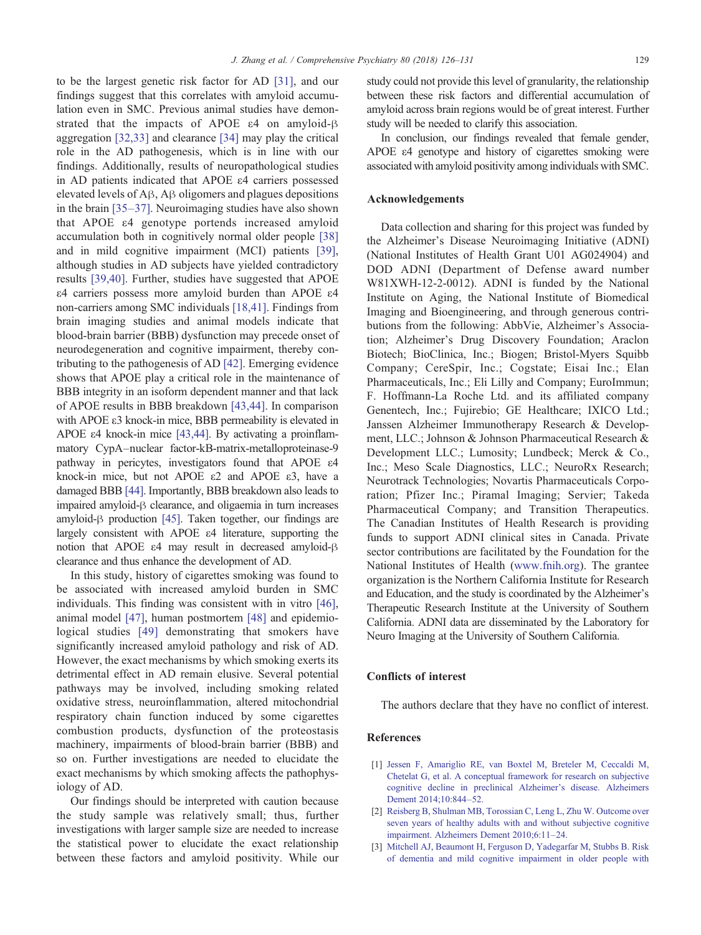<span id="page-3-0"></span>to be the largest genetic risk factor for AD [\[31\],](#page-4-0) and our findings suggest that this correlates with amyloid accumulation even in SMC. Previous animal studies have demonstrated that the impacts of APOE ε4 on amyloid-β aggregation [\[32,33\]](#page-4-0) and clearance [\[34\]](#page-4-0) may play the critical role in the AD pathogenesis, which is in line with our findings. Additionally, results of neuropathological studies in AD patients indicated that APOE ε4 carriers possessed elevated levels of Aβ, Aβ oligomers and plagues depositions in the brain [\[35](#page-4-0)–37]. Neuroimaging studies have also shown that APOE ε4 genotype portends increased amyloid accumulation both in cognitively normal older people [\[38\]](#page-4-0) and in mild cognitive impairment (MCI) patients [\[39\]](#page-4-0), although studies in AD subjects have yielded contradictory results [\[39,40\].](#page-4-0) Further, studies have suggested that APOE ε4 carriers possess more amyloid burden than APOE ε4 non-carriers among SMC individuals [\[18,41\].](#page-4-0) Findings from brain imaging studies and animal models indicate that blood-brain barrier (BBB) dysfunction may precede onset of neurodegeneration and cognitive impairment, thereby contributing to the pathogenesis of AD [\[42\].](#page-4-0) Emerging evidence shows that APOE play a critical role in the maintenance of BBB integrity in an isoform dependent manner and that lack of APOE results in BBB breakdown [\[43,44\].](#page-4-0) In comparison with APOE ε3 knock-in mice, BBB permeability is elevated in APOE ε4 knock-in mice [\[43,44\].](#page-4-0) By activating a proinflammatory CypA–nuclear factor-kB-matrix-metalloproteinase-9 pathway in pericytes, investigators found that APOE ε4 knock-in mice, but not APOE ε2 and APOE ε3, have a damaged BBB [\[44\]](#page-5-0). Importantly, BBB breakdown also leads to impaired amyloid-β clearance, and oligaemia in turn increases amyloid-β production [\[45\].](#page-5-0) Taken together, our findings are largely consistent with APOE ε4 literature, supporting the notion that APOE ε4 may result in decreased amyloid-β clearance and thus enhance the development of AD.

In this study, history of cigarettes smoking was found to be associated with increased amyloid burden in SMC individuals. This finding was consistent with in vitro [\[46\]](#page-5-0), animal model [\[47\],](#page-5-0) human postmortem [\[48\]](#page-5-0) and epidemiological studies [\[49\]](#page-5-0) demonstrating that smokers have significantly increased amyloid pathology and risk of AD. However, the exact mechanisms by which smoking exerts its detrimental effect in AD remain elusive. Several potential pathways may be involved, including smoking related oxidative stress, neuroinflammation, altered mitochondrial respiratory chain function induced by some cigarettes combustion products, dysfunction of the proteostasis machinery, impairments of blood-brain barrier (BBB) and so on. Further investigations are needed to elucidate the exact mechanisms by which smoking affects the pathophysiology of AD.

Our findings should be interpreted with caution because the study sample was relatively small; thus, further investigations with larger sample size are needed to increase the statistical power to elucidate the exact relationship between these factors and amyloid positivity. While our

study could not provide this level of granularity, the relationship between these risk factors and differential accumulation of amyloid across brain regions would be of great interest. Further study will be needed to clarify this association.

In conclusion, our findings revealed that female gender, APOE ε4 genotype and history of cigarettes smoking were associated with amyloid positivity among individuals with SMC.

#### Acknowledgements

Data collection and sharing for this project was funded by the Alzheimer's Disease Neuroimaging Initiative (ADNI) (National Institutes of Health Grant U01 AG024904) and DOD ADNI (Department of Defense award number W81XWH-12-2-0012). ADNI is funded by the National Institute on Aging, the National Institute of Biomedical Imaging and Bioengineering, and through generous contributions from the following: AbbVie, Alzheimer's Association; Alzheimer's Drug Discovery Foundation; Araclon Biotech; BioClinica, Inc.; Biogen; Bristol-Myers Squibb Company; CereSpir, Inc.; Cogstate; Eisai Inc.; Elan Pharmaceuticals, Inc.; Eli Lilly and Company; EuroImmun; F. Hoffmann-La Roche Ltd. and its affiliated company Genentech, Inc.; Fujirebio; GE Healthcare; IXICO Ltd.; Janssen Alzheimer Immunotherapy Research & Development, LLC.; Johnson & Johnson Pharmaceutical Research & Development LLC.; Lumosity; Lundbeck; Merck & Co., Inc.; Meso Scale Diagnostics, LLC.; NeuroRx Research; Neurotrack Technologies; Novartis Pharmaceuticals Corporation; Pfizer Inc.; Piramal Imaging; Servier; Takeda Pharmaceutical Company; and Transition Therapeutics. The Canadian Institutes of Health Research is providing funds to support ADNI clinical sites in Canada. Private sector contributions are facilitated by the Foundation for the National Institutes of Health ([www.fnih.org](http://www.fnih.org)). The grantee organization is the Northern California Institute for Research and Education, and the study is coordinated by the Alzheimer's Therapeutic Research Institute at the University of Southern California. ADNI data are disseminated by the Laboratory for Neuro Imaging at the University of Southern California.

# Conflicts of interest

The authors declare that they have no conflict of interest.

## References

- [1] [Jessen F, Amariglio RE, van Boxtel M, Breteler M, Ceccaldi M,](http://refhub.elsevier.com/S1550-7424(17)30081-7/rf0005) [Chetelat G, et al. A conceptual framework for research on subjective](http://refhub.elsevier.com/S1550-7424(17)30081-7/rf0005) [cognitive decline in preclinical Alzheimer's disease. Alzheimers](http://refhub.elsevier.com/S1550-7424(17)30081-7/rf0005) [Dement 2014;10:844](http://refhub.elsevier.com/S1550-7424(17)30081-7/rf0005)–52.
- [2] [Reisberg B, Shulman MB, Torossian C, Leng L, Zhu W. Outcome over](http://refhub.elsevier.com/S1550-7424(17)30081-7/rf0010) [seven years of healthy adults with and without subjective cognitive](http://refhub.elsevier.com/S1550-7424(17)30081-7/rf0010) [impairment. Alzheimers Dement 2010;6:11](http://refhub.elsevier.com/S1550-7424(17)30081-7/rf0010)–24.
- [3] [Mitchell AJ, Beaumont H, Ferguson D, Yadegarfar M, Stubbs B. Risk](http://refhub.elsevier.com/S1550-7424(17)30081-7/rf0015) [of dementia and mild cognitive impairment in older people with](http://refhub.elsevier.com/S1550-7424(17)30081-7/rf0015)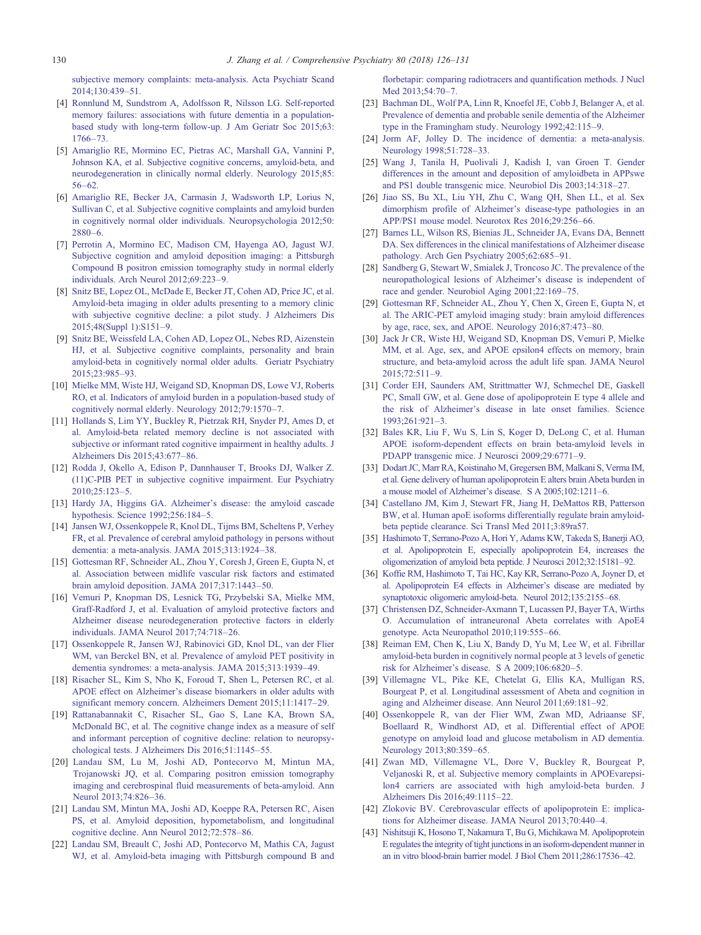<span id="page-4-0"></span>[subjective memory complaints: meta-analysis. Acta Psychiatr Scand](http://refhub.elsevier.com/S1550-7424(17)30081-7/rf0015)  $2014:130:439-51$ 

- [4] [Ronnlund M, Sundstrom A, Adolfsson R, Nilsson LG. Self-reported](http://refhub.elsevier.com/S1550-7424(17)30081-7/rf0020) [memory failures: associations with future dementia in a population](http://refhub.elsevier.com/S1550-7424(17)30081-7/rf0020)[based study with long-term follow-up. J Am Geriatr Soc 2015;63:](http://refhub.elsevier.com/S1550-7424(17)30081-7/rf0020) [1766](http://refhub.elsevier.com/S1550-7424(17)30081-7/rf0020)–73.
- [5] [Amariglio RE, Mormino EC, Pietras AC, Marshall GA, Vannini P,](http://refhub.elsevier.com/S1550-7424(17)30081-7/rf0025) [Johnson KA, et al. Subjective cognitive concerns, amyloid-beta, and](http://refhub.elsevier.com/S1550-7424(17)30081-7/rf0025) [neurodegeneration in clinically normal elderly. Neurology 2015;85:](http://refhub.elsevier.com/S1550-7424(17)30081-7/rf0025) 56–[62.](http://refhub.elsevier.com/S1550-7424(17)30081-7/rf0025)
- [6] [Amariglio RE, Becker JA, Carmasin J, Wadsworth LP, Lorius N,](http://refhub.elsevier.com/S1550-7424(17)30081-7/rf0030) [Sullivan C, et al. Subjective cognitive complaints and amyloid burden](http://refhub.elsevier.com/S1550-7424(17)30081-7/rf0030) [in cognitively normal older individuals. Neuropsychologia 2012;50:](http://refhub.elsevier.com/S1550-7424(17)30081-7/rf0030) [2880](http://refhub.elsevier.com/S1550-7424(17)30081-7/rf0030)–6.
- [7] [Perrotin A, Mormino EC, Madison CM, Hayenga AO, Jagust WJ.](http://refhub.elsevier.com/S1550-7424(17)30081-7/rf0035) [Subjective cognition and amyloid deposition imaging: a Pittsburgh](http://refhub.elsevier.com/S1550-7424(17)30081-7/rf0035) [Compound B positron emission tomography study in normal elderly](http://refhub.elsevier.com/S1550-7424(17)30081-7/rf0035) [individuals. Arch Neurol 2012;69:223](http://refhub.elsevier.com/S1550-7424(17)30081-7/rf0035)–9.
- [8] [Snitz BE, Lopez OL, McDade E, Becker JT, Cohen AD, Price JC, et al.](http://refhub.elsevier.com/S1550-7424(17)30081-7/rf0040) [Amyloid-beta imaging in older adults presenting to a memory clinic](http://refhub.elsevier.com/S1550-7424(17)30081-7/rf0040) [with subjective cognitive decline: a pilot study. J Alzheimers Dis](http://refhub.elsevier.com/S1550-7424(17)30081-7/rf0040) [2015;48\(Suppl 1\):S151](http://refhub.elsevier.com/S1550-7424(17)30081-7/rf0040)–9.
- [9] [Snitz BE, Weissfeld LA, Cohen AD, Lopez OL, Nebes RD, Aizenstein](http://refhub.elsevier.com/S1550-7424(17)30081-7/rf0045) [HJ, et al. Subjective cognitive complaints, personality and brain](http://refhub.elsevier.com/S1550-7424(17)30081-7/rf0045) [amyloid-beta in cognitively normal older adults. Geriatr Psychiatry](http://refhub.elsevier.com/S1550-7424(17)30081-7/rf0045) [2015;23:985](http://refhub.elsevier.com/S1550-7424(17)30081-7/rf0045)–93.
- [10] [Mielke MM, Wiste HJ, Weigand SD, Knopman DS, Lowe VJ, Roberts](http://refhub.elsevier.com/S1550-7424(17)30081-7/rf0050) [RO, et al. Indicators of amyloid burden in a population-based study of](http://refhub.elsevier.com/S1550-7424(17)30081-7/rf0050) [cognitively normal elderly. Neurology 2012;79:1570](http://refhub.elsevier.com/S1550-7424(17)30081-7/rf0050)–7.
- [11] [Hollands S, Lim YY, Buckley R, Pietrzak RH, Snyder PJ, Ames D, et](http://refhub.elsevier.com/S1550-7424(17)30081-7/rf0055) [al. Amyloid-beta related memory decline is not associated with](http://refhub.elsevier.com/S1550-7424(17)30081-7/rf0055) [subjective or informant rated cognitive impairment in healthy adults. J](http://refhub.elsevier.com/S1550-7424(17)30081-7/rf0055) [Alzheimers Dis 2015;43:677](http://refhub.elsevier.com/S1550-7424(17)30081-7/rf0055)–86.
- [12] [Rodda J, Okello A, Edison P, Dannhauser T, Brooks DJ, Walker Z.](http://refhub.elsevier.com/S1550-7424(17)30081-7/rf0060) [\(11\)C-PIB PET in subjective cognitive impairment. Eur Psychiatry](http://refhub.elsevier.com/S1550-7424(17)30081-7/rf0060) [2010;25:123](http://refhub.elsevier.com/S1550-7424(17)30081-7/rf0060)–5.
- [13] [Hardy JA, Higgins GA. Alzheimer's disease: the amyloid cascade](http://refhub.elsevier.com/S1550-7424(17)30081-7/rf0065) [hypothesis. Science 1992;256:184](http://refhub.elsevier.com/S1550-7424(17)30081-7/rf0065)–5.
- [14] [Jansen WJ, Ossenkoppele R, Knol DL, Tijms BM, Scheltens P, Verhey](http://refhub.elsevier.com/S1550-7424(17)30081-7/rf0070) [FR, et al. Prevalence of cerebral amyloid pathology in persons without](http://refhub.elsevier.com/S1550-7424(17)30081-7/rf0070) [dementia: a meta-analysis. JAMA 2015;313:1924](http://refhub.elsevier.com/S1550-7424(17)30081-7/rf0070)–38.
- [15] [Gottesman RF, Schneider AL, Zhou Y, Coresh J, Green E, Gupta N, et](http://refhub.elsevier.com/S1550-7424(17)30081-7/rf0075) [al. Association between midlife vascular risk factors and estimated](http://refhub.elsevier.com/S1550-7424(17)30081-7/rf0075) [brain amyloid deposition. JAMA 2017;317:1443](http://refhub.elsevier.com/S1550-7424(17)30081-7/rf0075)–50.
- [16] [Vemuri P, Knopman DS, Lesnick TG, Przybelski SA, Mielke MM,](http://refhub.elsevier.com/S1550-7424(17)30081-7/rf0080) [Graff-Radford J, et al. Evaluation of amyloid protective factors and](http://refhub.elsevier.com/S1550-7424(17)30081-7/rf0080) [Alzheimer disease neurodegeneration protective factors in elderly](http://refhub.elsevier.com/S1550-7424(17)30081-7/rf0080) [individuals. JAMA Neurol 2017;74:718](http://refhub.elsevier.com/S1550-7424(17)30081-7/rf0080)–26.
- [17] [Ossenkoppele R, Jansen WJ, Rabinovici GD, Knol DL, van der Flier](http://refhub.elsevier.com/S1550-7424(17)30081-7/rf0085) [WM, van Berckel BN, et al. Prevalence of amyloid PET positivity in](http://refhub.elsevier.com/S1550-7424(17)30081-7/rf0085) [dementia syndromes: a meta-analysis. JAMA 2015;313:1939](http://refhub.elsevier.com/S1550-7424(17)30081-7/rf0085)–49.
- [18] [Risacher SL, Kim S, Nho K, Foroud T, Shen L, Petersen RC, et al.](http://refhub.elsevier.com/S1550-7424(17)30081-7/rf0090) [APOE effect on Alzheimer's disease biomarkers in older adults with](http://refhub.elsevier.com/S1550-7424(17)30081-7/rf0090) [significant memory concern. Alzheimers Dement 2015;11:1417](http://refhub.elsevier.com/S1550-7424(17)30081-7/rf0090)–29.
- [19] [Rattanabannakit C, Risacher SL, Gao S, Lane KA, Brown SA,](http://refhub.elsevier.com/S1550-7424(17)30081-7/rf0095) [McDonald BC, et al. The cognitive change index as a measure of self](http://refhub.elsevier.com/S1550-7424(17)30081-7/rf0095) [and informant perception of cognitive decline: relation to neuropsy](http://refhub.elsevier.com/S1550-7424(17)30081-7/rf0095)[chological tests. J Alzheimers Dis 2016;51:1145](http://refhub.elsevier.com/S1550-7424(17)30081-7/rf0095)–55.
- [20] [Landau SM, Lu M, Joshi AD, Pontecorvo M, Mintun MA,](http://refhub.elsevier.com/S1550-7424(17)30081-7/rf0100) [Trojanowski JQ, et al. Comparing positron emission tomography](http://refhub.elsevier.com/S1550-7424(17)30081-7/rf0100) [imaging and cerebrospinal fluid measurements of beta-amyloid. Ann](http://refhub.elsevier.com/S1550-7424(17)30081-7/rf0100) [Neurol 2013;74:826](http://refhub.elsevier.com/S1550-7424(17)30081-7/rf0100)–36.
- [21] [Landau SM, Mintun MA, Joshi AD, Koeppe RA, Petersen RC, Aisen](http://refhub.elsevier.com/S1550-7424(17)30081-7/rf0105) [PS, et al. Amyloid deposition, hypometabolism, and longitudinal](http://refhub.elsevier.com/S1550-7424(17)30081-7/rf0105) [cognitive decline. Ann Neurol 2012;72:578](http://refhub.elsevier.com/S1550-7424(17)30081-7/rf0105)–86.
- [22] [Landau SM, Breault C, Joshi AD, Pontecorvo M, Mathis CA, Jagust](http://refhub.elsevier.com/S1550-7424(17)30081-7/rf0110) [WJ, et al. Amyloid-beta imaging with Pittsburgh compound B and](http://refhub.elsevier.com/S1550-7424(17)30081-7/rf0110)

[florbetapir: comparing radiotracers and quantification methods. J Nucl](http://refhub.elsevier.com/S1550-7424(17)30081-7/rf0110) Med 2013:54:70-7.

- [23] [Bachman DL, Wolf PA, Linn R, Knoefel JE, Cobb J, Belanger A, et al.](http://refhub.elsevier.com/S1550-7424(17)30081-7/rf0115) [Prevalence of dementia and probable senile dementia of the Alzheimer](http://refhub.elsevier.com/S1550-7424(17)30081-7/rf0115) [type in the Framingham study. Neurology 1992;42:115](http://refhub.elsevier.com/S1550-7424(17)30081-7/rf0115)–9.
- [24] [Jorm AF, Jolley D. The incidence of dementia: a meta-analysis.](http://refhub.elsevier.com/S1550-7424(17)30081-7/rf0120) [Neurology 1998;51:728](http://refhub.elsevier.com/S1550-7424(17)30081-7/rf0120)–33.
- [25] [Wang J, Tanila H, Puolivali J, Kadish I, van Groen T. Gender](http://refhub.elsevier.com/S1550-7424(17)30081-7/rf0125) [differences in the amount and deposition of amyloidbeta in APPswe](http://refhub.elsevier.com/S1550-7424(17)30081-7/rf0125) [and PS1 double transgenic mice. Neurobiol Dis 2003;14:318](http://refhub.elsevier.com/S1550-7424(17)30081-7/rf0125)–27.
- [26] [Jiao SS, Bu XL, Liu YH, Zhu C, Wang QH, Shen LL, et al. Sex](http://refhub.elsevier.com/S1550-7424(17)30081-7/rf0130) [dimorphism profile of Alzheimer's disease-type pathologies in an](http://refhub.elsevier.com/S1550-7424(17)30081-7/rf0130) [APP/PS1 mouse model. Neurotox Res 2016;29:256](http://refhub.elsevier.com/S1550-7424(17)30081-7/rf0130)–66.
- [27] [Barnes LL, Wilson RS, Bienias JL, Schneider JA, Evans DA, Bennett](http://refhub.elsevier.com/S1550-7424(17)30081-7/rf0135) [DA. Sex differences in the clinical manifestations of Alzheimer disease](http://refhub.elsevier.com/S1550-7424(17)30081-7/rf0135) [pathology. Arch Gen Psychiatry 2005;62:685](http://refhub.elsevier.com/S1550-7424(17)30081-7/rf0135)–91.
- [28] [Sandberg G, Stewart W, Smialek J, Troncoso JC. The prevalence of the](http://refhub.elsevier.com/S1550-7424(17)30081-7/rf0140) [neuropathological lesions of Alzheimer's disease is independent of](http://refhub.elsevier.com/S1550-7424(17)30081-7/rf0140) [race and gender. Neurobiol Aging 2001;22:169](http://refhub.elsevier.com/S1550-7424(17)30081-7/rf0140)–75.
- [29] [Gottesman RF, Schneider AL, Zhou Y, Chen X, Green E, Gupta N, et](http://refhub.elsevier.com/S1550-7424(17)30081-7/rf0145) [al. The ARIC-PET amyloid imaging study: brain amyloid differences](http://refhub.elsevier.com/S1550-7424(17)30081-7/rf0145) [by age, race, sex, and APOE. Neurology 2016;87:473](http://refhub.elsevier.com/S1550-7424(17)30081-7/rf0145)–80.
- [30] [Jack Jr CR, Wiste HJ, Weigand SD, Knopman DS, Vemuri P, Mielke](http://refhub.elsevier.com/S1550-7424(17)30081-7/rf0150) [MM, et al. Age, sex, and APOE epsilon4 effects on memory, brain](http://refhub.elsevier.com/S1550-7424(17)30081-7/rf0150) [structure, and beta-amyloid across the adult life span. JAMA Neurol](http://refhub.elsevier.com/S1550-7424(17)30081-7/rf0150) [2015;72:511](http://refhub.elsevier.com/S1550-7424(17)30081-7/rf0150)–9.
- [31] [Corder EH, Saunders AM, Strittmatter WJ, Schmechel DE, Gaskell](http://refhub.elsevier.com/S1550-7424(17)30081-7/rf0155) [PC, Small GW, et al. Gene dose of apolipoprotein E type 4 allele and](http://refhub.elsevier.com/S1550-7424(17)30081-7/rf0155) [the risk of Alzheimer's disease in late onset families. Science](http://refhub.elsevier.com/S1550-7424(17)30081-7/rf0155) [1993;261:921](http://refhub.elsevier.com/S1550-7424(17)30081-7/rf0155)–3.
- [32] [Bales KR, Liu F, Wu S, Lin S, Koger D, DeLong C, et al. Human](http://refhub.elsevier.com/S1550-7424(17)30081-7/rf0160) [APOE isoform-dependent effects on brain beta-amyloid levels in](http://refhub.elsevier.com/S1550-7424(17)30081-7/rf0160) [PDAPP transgenic mice. J Neurosci 2009;29:6771](http://refhub.elsevier.com/S1550-7424(17)30081-7/rf0160)–9.
- [33] [Dodart JC, Marr RA, Koistinaho M, Gregersen BM, Malkani S, Verma IM,](http://refhub.elsevier.com/S1550-7424(17)30081-7/rf0165) [et al. Gene delivery of human apolipoprotein E alters brain Abeta burden in](http://refhub.elsevier.com/S1550-7424(17)30081-7/rf0165) [a mouse model of Alzheimer's disease. S A 2005;102:1211](http://refhub.elsevier.com/S1550-7424(17)30081-7/rf0165)–6.
- [34] [Castellano JM, Kim J, Stewart FR, Jiang H, DeMattos RB, Patterson](http://refhub.elsevier.com/S1550-7424(17)30081-7/rf0170) [BW, et al. Human apoE isoforms differentially regulate brain amyloid](http://refhub.elsevier.com/S1550-7424(17)30081-7/rf0170)[beta peptide clearance. Sci Transl Med 2011;3:89ra57.](http://refhub.elsevier.com/S1550-7424(17)30081-7/rf0170)
- [35] [Hashimoto T, Serrano-Pozo A, Hori Y, Adams KW, Takeda S, Banerji AO,](http://refhub.elsevier.com/S1550-7424(17)30081-7/rf0175) [et al. Apolipoprotein E, especially](http://refhub.elsevier.com/S1550-7424(17)30081-7/rf0175) apolipoprotein E4, increases the [oligomerization of amyloid beta peptide. J Neurosci 2012;32:15181](http://refhub.elsevier.com/S1550-7424(17)30081-7/rf0175)–92.
- [36] [Koffie RM, Hashimoto T, Tai HC, Kay KR, Serrano-Pozo A, Joyner D, et](http://refhub.elsevier.com/S1550-7424(17)30081-7/rf0180) [al. Apolipoprotein E4 effects in Alzheimer's disease are mediated by](http://refhub.elsevier.com/S1550-7424(17)30081-7/rf0180) [synaptotoxic oligomeric amyloid-beta. Neurol 2012;135:2155](http://refhub.elsevier.com/S1550-7424(17)30081-7/rf0180)–68.
- [37] [Christensen DZ, Schneider-Axmann T, Lucassen PJ, Bayer TA, Wirths](http://refhub.elsevier.com/S1550-7424(17)30081-7/rf0185) [O. Accumulation of intraneuronal Abeta correlates with ApoE4](http://refhub.elsevier.com/S1550-7424(17)30081-7/rf0185) [genotype. Acta Neuropathol 2010;119:555](http://refhub.elsevier.com/S1550-7424(17)30081-7/rf0185)–66.
- [38] [Reiman EM, Chen K, Liu X, Bandy D, Yu M, Lee W, et al. Fibrillar](http://refhub.elsevier.com/S1550-7424(17)30081-7/rf0190) [amyloid-beta burden in cognitively normal people at 3 levels of genetic](http://refhub.elsevier.com/S1550-7424(17)30081-7/rf0190) [risk for Alzheimer's disease. S A 2009;106:6820](http://refhub.elsevier.com/S1550-7424(17)30081-7/rf0190)–5.
- [39] [Villemagne VL, Pike KE, Chetelat G, Ellis KA, Mulligan RS,](http://refhub.elsevier.com/S1550-7424(17)30081-7/rf0195) [Bourgeat P, et al. Longitudinal assessment of Abeta and cognition in](http://refhub.elsevier.com/S1550-7424(17)30081-7/rf0195) [aging and Alzheimer disease. Ann Neurol 2011;69:181](http://refhub.elsevier.com/S1550-7424(17)30081-7/rf0195)–92.
- [40] [Ossenkoppele R, van der Flier WM, Zwan MD, Adriaanse SF,](http://refhub.elsevier.com/S1550-7424(17)30081-7/rf0200) [Boellaard R, Windhorst AD, et al. Differential effect of APOE](http://refhub.elsevier.com/S1550-7424(17)30081-7/rf0200) [genotype on amyloid load and glucose metabolism in AD dementia.](http://refhub.elsevier.com/S1550-7424(17)30081-7/rf0200) [Neurology 2013;80:359](http://refhub.elsevier.com/S1550-7424(17)30081-7/rf0200)–65.
- [41] [Zwan MD, Villemagne VL, Dore V, Buckley R, Bourgeat P,](http://refhub.elsevier.com/S1550-7424(17)30081-7/rf0205) [Veljanoski R, et al. Subjective memory complaints in APOEvarepsi](http://refhub.elsevier.com/S1550-7424(17)30081-7/rf0205)[lon4 carriers are associated with high amyloid-beta burden. J](http://refhub.elsevier.com/S1550-7424(17)30081-7/rf0205) [Alzheimers Dis 2016;49:1115](http://refhub.elsevier.com/S1550-7424(17)30081-7/rf0205)–22.
- [42] [Zlokovic BV. Cerebrovascular effects of apolipoprotein E: implica](http://refhub.elsevier.com/S1550-7424(17)30081-7/rf0210)[tions for Alzheimer disease. JAMA Neurol 2013;70:440](http://refhub.elsevier.com/S1550-7424(17)30081-7/rf0210)–4.
- [43] [Nishitsuji K, Hosono T, Nakamura T, Bu G, Michikawa M. Apolipoprotein](http://refhub.elsevier.com/S1550-7424(17)30081-7/rf0215) [E regulates the integrity of tight junctions in an isoform-dependent manner in](http://refhub.elsevier.com/S1550-7424(17)30081-7/rf0215) [an in vitro blood-brain barrier model. J Biol Chem 2011;286:17536](http://refhub.elsevier.com/S1550-7424(17)30081-7/rf0215)–42.